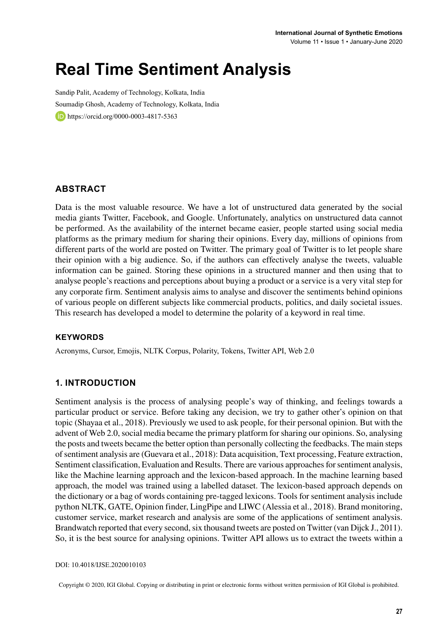# **Real Time Sentiment Analysis**

Sandip Palit, Academy of Technology, Kolkata, India Soumadip Ghosh, Academy of Technology, Kolkata, India https://orcid.org/0000-0003-4817-5363

### **ABSTRACT**

Data is the most valuable resource. We have a lot of unstructured data generated by the social media giants Twitter, Facebook, and Google. Unfortunately, analytics on unstructured data cannot be performed. As the availability of the internet became easier, people started using social media platforms as the primary medium for sharing their opinions. Every day, millions of opinions from different parts of the world are posted on Twitter. The primary goal of Twitter is to let people share their opinion with a big audience. So, if the authors can effectively analyse the tweets, valuable information can be gained. Storing these opinions in a structured manner and then using that to analyse people's reactions and perceptions about buying a product or a service is a very vital step for any corporate firm. Sentiment analysis aims to analyse and discover the sentiments behind opinions of various people on different subjects like commercial products, politics, and daily societal issues. This research has developed a model to determine the polarity of a keyword in real time.

#### **Keywords**

Acronyms, Cursor, Emojis, NLTK Corpus, Polarity, Tokens, Twitter API, Web 2.0

### **1. INTRODUCTION**

Sentiment analysis is the process of analysing people's way of thinking, and feelings towards a particular product or service. Before taking any decision, we try to gather other's opinion on that topic (Shayaa et al., 2018). Previously we used to ask people, for their personal opinion. But with the advent of Web 2.0, social media became the primary platform for sharing our opinions. So, analysing the posts and tweets became the better option than personally collecting the feedbacks. The main steps of sentiment analysis are (Guevara et al., 2018): Data acquisition, Text processing, Feature extraction, Sentiment classification, Evaluation and Results. There are various approaches for sentiment analysis, like the Machine learning approach and the lexicon-based approach. In the machine learning based approach, the model was trained using a labelled dataset. The lexicon-based approach depends on the dictionary or a bag of words containing pre-tagged lexicons. Tools for sentiment analysis include python NLTK, GATE, Opinion finder, LingPipe and LIWC (Alessia et al., 2018). Brand monitoring, customer service, market research and analysis are some of the applications of sentiment analysis. Brandwatch reported that every second, six thousand tweets are posted on Twitter (van Dijck J., 2011). So, it is the best source for analysing opinions. Twitter API allows us to extract the tweets within a

DOI: 10.4018/IJSE.2020010103

Copyright © 2020, IGI Global. Copying or distributing in print or electronic forms without written permission of IGI Global is prohibited.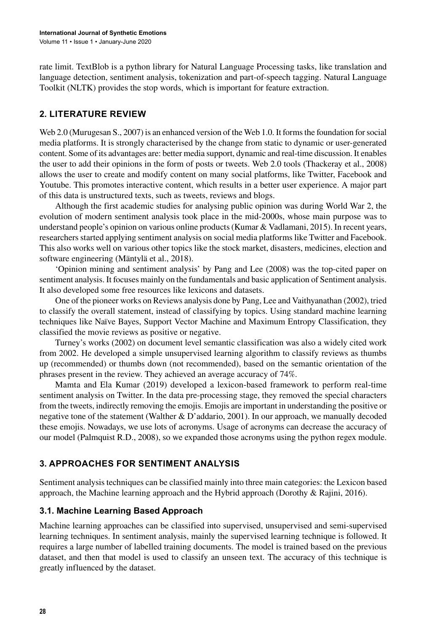rate limit. TextBlob is a python library for Natural Language Processing tasks, like translation and language detection, sentiment analysis, tokenization and part-of-speech tagging. Natural Language Toolkit (NLTK) provides the stop words, which is important for feature extraction.

### **2. LITERATURE REVIEW**

Web 2.0 (Murugesan S., 2007) is an enhanced version of the Web 1.0. It forms the foundation for social media platforms. It is strongly characterised by the change from static to dynamic or user-generated content. Some of its advantages are: better media support, dynamic and real-time discussion. It enables the user to add their opinions in the form of posts or tweets. Web 2.0 tools (Thackeray et al., 2008) allows the user to create and modify content on many social platforms, like Twitter, Facebook and Youtube. This promotes interactive content, which results in a better user experience. A major part of this data is unstructured texts, such as tweets, reviews and blogs.

Although the first academic studies for analysing public opinion was during World War 2, the evolution of modern sentiment analysis took place in the mid-2000s, whose main purpose was to understand people's opinion on various online products(Kumar & Vadlamani, 2015). In recent years, researchersstarted applying sentiment analysis on social media platformslike Twitter and Facebook. This also works well on various other topics like the stock market, disasters, medicines, election and software engineering (Mäntylä et al., 2018).

'Opinion mining and sentiment analysis' by Pang and Lee (2008) was the top-cited paper on sentiment analysis. It focuses mainly on the fundamentals and basic application of Sentiment analysis. It also developed some free resources like lexicons and datasets.

One of the pioneer works on Reviews analysis done by Pang, Lee and Vaithyanathan (2002), tried to classify the overall statement, instead of classifying by topics. Using standard machine learning techniques like Naïve Bayes, Support Vector Machine and Maximum Entropy Classification, they classified the movie reviews as positive or negative.

Turney's works (2002) on document level semantic classification was also a widely cited work from 2002. He developed a simple unsupervised learning algorithm to classify reviews as thumbs up (recommended) or thumbs down (not recommended), based on the semantic orientation of the phrases present in the review. They achieved an average accuracy of 74%.

Mamta and Ela Kumar (2019) developed a lexicon-based framework to perform real-time sentiment analysis on Twitter. In the data pre-processing stage, they removed the special characters from the tweets, indirectly removing the emojis. Emojis are important in understanding the positive or negative tone of the statement (Walther & D'addario, 2001). In our approach, we manually decoded these emojis. Nowadays, we use lots of acronyms. Usage of acronyms can decrease the accuracy of our model (Palmquist R.D., 2008), so we expanded those acronyms using the python regex module.

### **3. APPROACHES FOR SENTIMENT ANALYSIS**

Sentiment analysis techniques can be classified mainly into three main categories: the Lexicon based approach, the Machine learning approach and the Hybrid approach (Dorothy & Rajini, 2016).

### **3.1. Machine Learning Based Approach**

Machine learning approaches can be classified into supervised, unsupervised and semi-supervised learning techniques. In sentiment analysis, mainly the supervised learning technique is followed. It requires a large number of labelled training documents. The model is trained based on the previous dataset, and then that model is used to classify an unseen text. The accuracy of this technique is greatly influenced by the dataset.